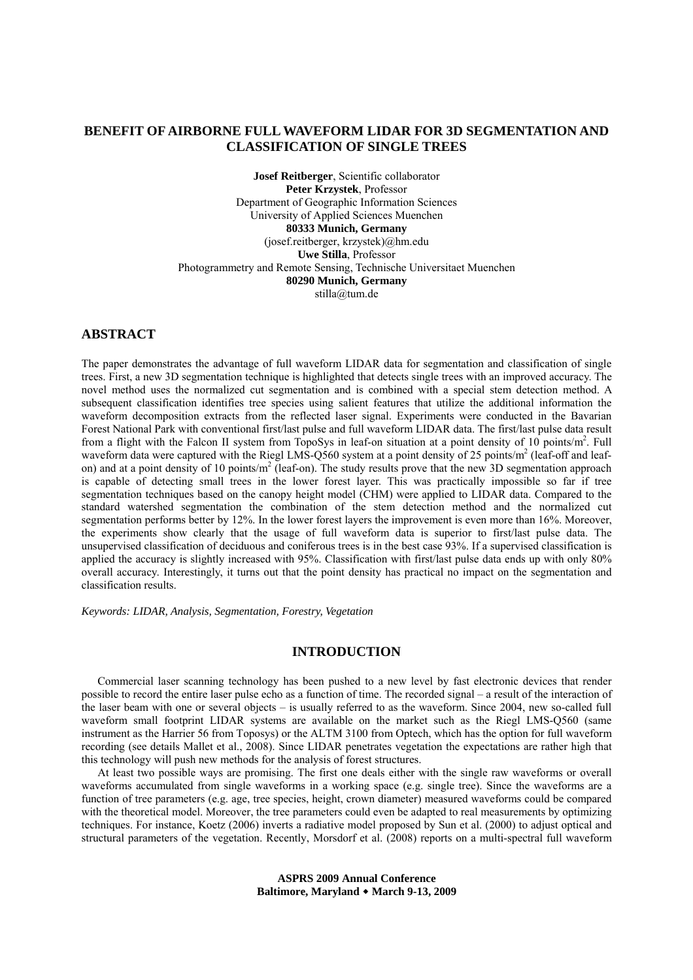# **BENEFIT OF AIRBORNE FULL WAVEFORM LIDAR FOR 3D SEGMENTATION AND CLASSIFICATION OF SINGLE TREES**

**Josef Reitberger**, Scientific collaborator **Peter Krzystek**, Professor Department of Geographic Information Sciences University of Applied Sciences Muenchen **80333 Munich, Germany** (josef.reitberger, krzystek)@hm.edu **Uwe Stilla**, Professor Photogrammetry and Remote Sensing, Technische Universitaet Muenchen **80290 Munich, Germany**  stilla@tum.de

# **ABSTRACT**

The paper demonstrates the advantage of full waveform LIDAR data for segmentation and classification of single trees. First, a new 3D segmentation technique is highlighted that detects single trees with an improved accuracy. The novel method uses the normalized cut segmentation and is combined with a special stem detection method. A subsequent classification identifies tree species using salient features that utilize the additional information the waveform decomposition extracts from the reflected laser signal. Experiments were conducted in the Bavarian Forest National Park with conventional first/last pulse and full waveform LIDAR data. The first/last pulse data result from a flight with the Falcon II system from TopoSys in leaf-on situation at a point density of 10 points/m<sup>2</sup>. Full waveform data were captured with the Riegl LMS-Q560 system at a point density of 25 points/ $m^2$  (leaf-off and leafon) and at a point density of 10 points/m<sup>2</sup> (leaf-on). The study results prove that the new 3D segmentation approach is capable of detecting small trees in the lower forest layer. This was practically impossible so far if tree segmentation techniques based on the canopy height model (CHM) were applied to LIDAR data. Compared to the standard watershed segmentation the combination of the stem detection method and the normalized cut segmentation performs better by 12%. In the lower forest layers the improvement is even more than 16%. Moreover, the experiments show clearly that the usage of full waveform data is superior to first/last pulse data. The unsupervised classification of deciduous and coniferous trees is in the best case 93%. If a supervised classification is applied the accuracy is slightly increased with 95%. Classification with first/last pulse data ends up with only 80% overall accuracy. Interestingly, it turns out that the point density has practical no impact on the segmentation and classification results.

*Keywords: LIDAR, Analysis, Segmentation, Forestry, Vegetation* 

## **INTRODUCTION**

Commercial laser scanning technology has been pushed to a new level by fast electronic devices that render possible to record the entire laser pulse echo as a function of time. The recorded signal – a result of the interaction of the laser beam with one or several objects – is usually referred to as the waveform. Since 2004, new so-called full waveform small footprint LIDAR systems are available on the market such as the Riegl LMS-Q560 (same instrument as the Harrier 56 from Toposys) or the ALTM 3100 from Optech, which has the option for full waveform recording (see details Mallet et al., 2008). Since LIDAR penetrates vegetation the expectations are rather high that this technology will push new methods for the analysis of forest structures.

At least two possible ways are promising. The first one deals either with the single raw waveforms or overall waveforms accumulated from single waveforms in a working space (e.g. single tree). Since the waveforms are a function of tree parameters (e.g. age, tree species, height, crown diameter) measured waveforms could be compared with the theoretical model. Moreover, the tree parameters could even be adapted to real measurements by optimizing techniques. For instance, Koetz (2006) inverts a radiative model proposed by Sun et al. (2000) to adjust optical and structural parameters of the vegetation. Recently, Morsdorf et al. (2008) reports on a multi-spectral full waveform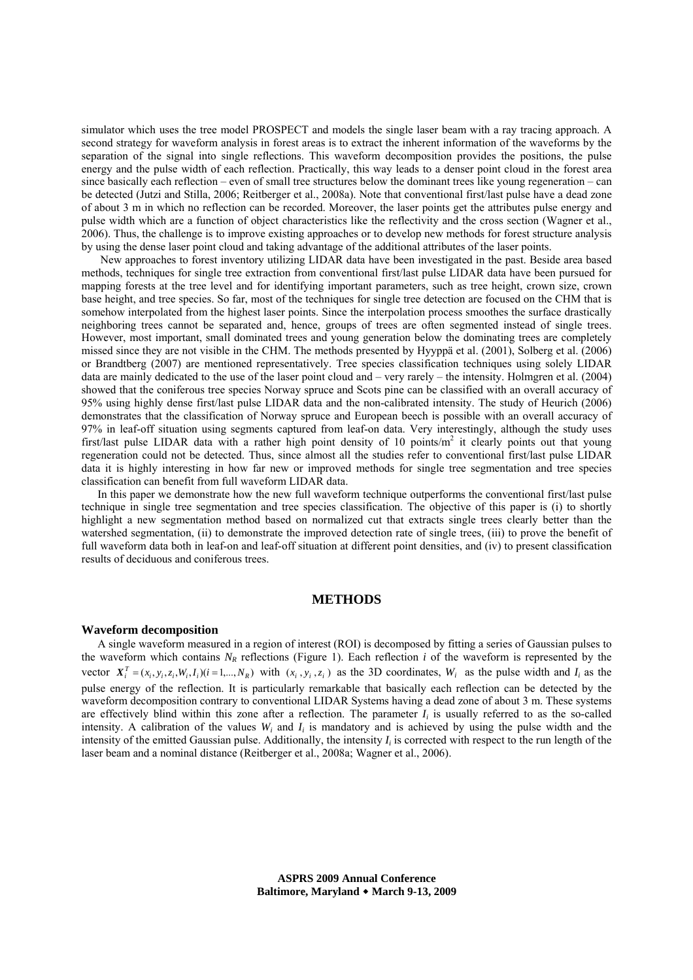simulator which uses the tree model PROSPECT and models the single laser beam with a ray tracing approach. A second strategy for waveform analysis in forest areas is to extract the inherent information of the waveforms by the separation of the signal into single reflections. This waveform decomposition provides the positions, the pulse energy and the pulse width of each reflection. Practically, this way leads to a denser point cloud in the forest area since basically each reflection – even of small tree structures below the dominant trees like young regeneration – can be detected (Jutzi and Stilla, 2006; Reitberger et al., 2008a). Note that conventional first/last pulse have a dead zone of about 3 m in which no reflection can be recorded. Moreover, the laser points get the attributes pulse energy and pulse width which are a function of object characteristics like the reflectivity and the cross section (Wagner et al., 2006). Thus, the challenge is to improve existing approaches or to develop new methods for forest structure analysis by using the dense laser point cloud and taking advantage of the additional attributes of the laser points.

 New approaches to forest inventory utilizing LIDAR data have been investigated in the past. Beside area based methods, techniques for single tree extraction from conventional first/last pulse LIDAR data have been pursued for mapping forests at the tree level and for identifying important parameters, such as tree height, crown size, crown base height, and tree species. So far, most of the techniques for single tree detection are focused on the CHM that is somehow interpolated from the highest laser points. Since the interpolation process smoothes the surface drastically neighboring trees cannot be separated and, hence, groups of trees are often segmented instead of single trees. However, most important, small dominated trees and young generation below the dominating trees are completely missed since they are not visible in the CHM. The methods presented by Hyyppä et al. (2001), Solberg et al. (2006) or Brandtberg (2007) are mentioned representatively. Tree species classification techniques using solely LIDAR data are mainly dedicated to the use of the laser point cloud and – very rarely – the intensity. Holmgren et al. (2004) showed that the coniferous tree species Norway spruce and Scots pine can be classified with an overall accuracy of 95% using highly dense first/last pulse LIDAR data and the non-calibrated intensity. The study of Heurich (2006) demonstrates that the classification of Norway spruce and European beech is possible with an overall accuracy of 97% in leaf-off situation using segments captured from leaf-on data. Very interestingly, although the study uses first/last pulse LIDAR data with a rather high point density of 10 points/m<sup>2</sup> it clearly points out that young regeneration could not be detected. Thus, since almost all the studies refer to conventional first/last pulse LIDAR data it is highly interesting in how far new or improved methods for single tree segmentation and tree species classification can benefit from full waveform LIDAR data.

In this paper we demonstrate how the new full waveform technique outperforms the conventional first/last pulse technique in single tree segmentation and tree species classification. The objective of this paper is (i) to shortly highlight a new segmentation method based on normalized cut that extracts single trees clearly better than the watershed segmentation, (ii) to demonstrate the improved detection rate of single trees, (iii) to prove the benefit of full waveform data both in leaf-on and leaf-off situation at different point densities, and (iv) to present classification results of deciduous and coniferous trees.

### **METHODS**

#### **Waveform decomposition**

A single waveform measured in a region of interest (ROI) is decomposed by fitting a series of Gaussian pulses to the waveform which contains  $N_R$  reflections (Figure 1). Each reflection *i* of the waveform is represented by the vector  $X_i^T = (x_i, y_i, z_i, W_i, I_i)(i = 1, ..., N_R)$  with  $(x_i, y_i, z_i)$  as the 3D coordinates,  $W_i$  as the pulse width and  $I_i$  as the pulse energy of the reflection. It is particularly remarkable that basically each reflection can be detected by the waveform decomposition contrary to conventional LIDAR Systems having a dead zone of about 3 m. These systems are effectively blind within this zone after a reflection. The parameter  $I_i$  is usually referred to as the so-called intensity. A calibration of the values  $W_i$  and  $I_i$  is mandatory and is achieved by using the pulse width and the intensity of the emitted Gaussian pulse. Additionally, the intensity  $I_i$  is corrected with respect to the run length of the laser beam and a nominal distance (Reitberger et al., 2008a; Wagner et al., 2006).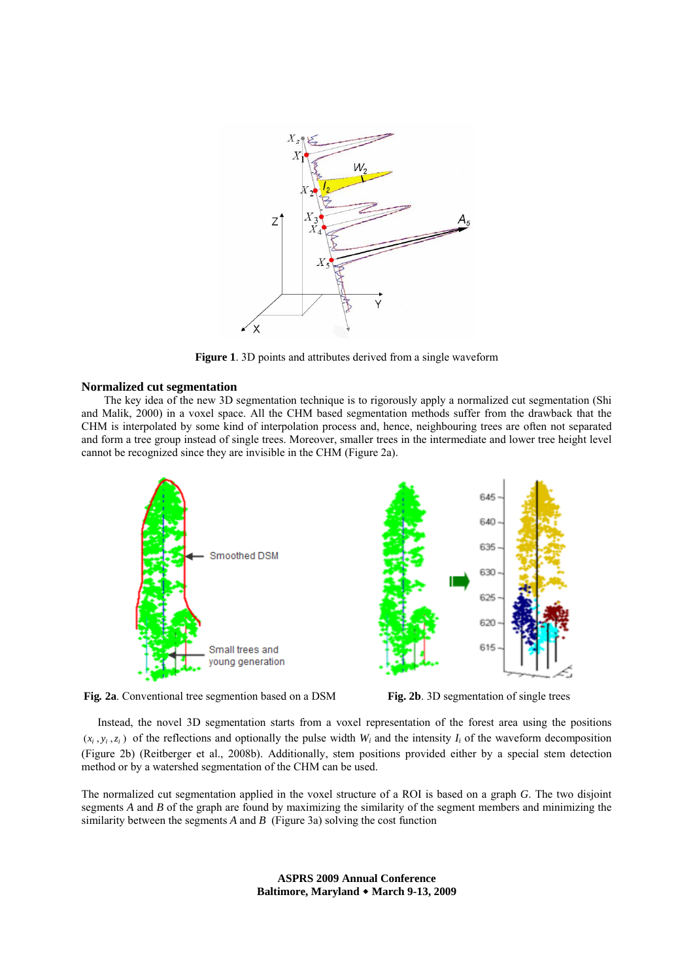

**Figure 1**. 3D points and attributes derived from a single waveform

### **Normalized cut segmentation**

The key idea of the new 3D segmentation technique is to rigorously apply a normalized cut segmentation (Shi and Malik, 2000) in a voxel space. All the CHM based segmentation methods suffer from the drawback that the CHM is interpolated by some kind of interpolation process and, hence, neighbouring trees are often not separated and form a tree group instead of single trees. Moreover, smaller trees in the intermediate and lower tree height level cannot be recognized since they are invisible in the CHM (Figure 2a).



**Fig***.* **2a**. Conventional tree segmention based on a DSM **Fig. 2b**. 3D segmentation of single trees



Instead, the novel 3D segmentation starts from a voxel representation of the forest area using the positions  $(x_i, y_i, z_i)$  of the reflections and optionally the pulse width  $W_i$  and the intensity  $I_i$  of the waveform decomposition (Figure 2b) (Reitberger et al., 2008b). Additionally, stem positions provided either by a special stem detection method or by a watershed segmentation of the CHM can be used.

The normalized cut segmentation applied in the voxel structure of a ROI is based on a graph *G*. The two disjoint segments *A* and *B* of the graph are found by maximizing the similarity of the segment members and minimizing the similarity between the segments *A* and *B* (Figure 3a) solving the cost function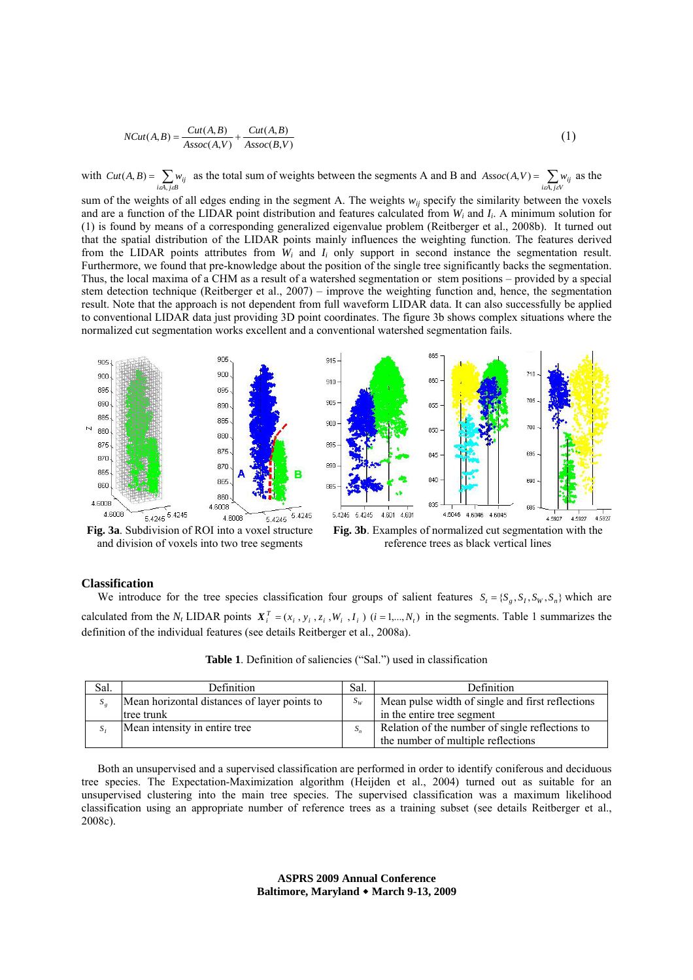$$
NCut(A,B) = \frac{Cut(A,B)}{Assoc(A,V)} + \frac{Cut(A,B)}{Assoc(B,V)}
$$
(1)

with  $Cut(A, B) = \sum_{i \in A, j \in B} w_{ij}$  as the total sum of weights between the segments A and B and  $Assoc(A, V) = \sum_{i \in A, j \in V} w_{ij}$  $(A, V) = \sum_{i} w_{ii}$  as the

sum of the weights of all edges ending in the segment A. The weights  $w_{ij}$  specify the similarity between the voxels and are a function of the LIDAR point distribution and features calculated from  $W_i$  and  $I_i$ . A minimum solution for (1) is found by means of a corresponding generalized eigenvalue problem (Reitberger et al., 2008b). It turned out that the spatial distribution of the LIDAR points mainly influences the weighting function. The features derived from the LIDAR points attributes from *Wi* and *Ii* only support in second instance the segmentation result. Furthermore, we found that pre-knowledge about the position of the single tree significantly backs the segmentation. Thus, the local maxima of a CHM as a result of a watershed segmentation or stem positions – provided by a special stem detection technique (Reitberger et al., 2007) – improve the weighting function and, hence, the segmentation result. Note that the approach is not dependent from full waveform LIDAR data. It can also successfully be applied to conventional LIDAR data just providing 3D point coordinates. The figure 3b shows complex situations where the normalized cut segmentation works excellent and a conventional watershed segmentation fails.



and division of voxels into two tree segments



### **Classification**

We introduce for the tree species classification four groups of salient features  $S_t = \{S_s, S_t, S_w, S_s\}$  which are calculated from the  $N_t$  LIDAR points  $X_i^T = (x_i, y_i, z_i, W_i, I_i)$   $(i = 1,..., N_t)$  in the segments. Table 1 summarizes the definition of the individual features (see details Reitberger et al., 2008a).

| Sal. | Definition                                   | Sal.  | Definition                                       |
|------|----------------------------------------------|-------|--------------------------------------------------|
|      | Mean horizontal distances of layer points to | $S_W$ | Mean pulse width of single and first reflections |
|      | tree trunk                                   |       | in the entire tree segment                       |
|      | Mean intensity in entire tree                | $S_n$ | Relation of the number of single reflections to  |
|      |                                              |       | the number of multiple reflections               |

| <b>Table 1.</b> Definition of saliencies ("Sal.") used in classification |  |
|--------------------------------------------------------------------------|--|
|--------------------------------------------------------------------------|--|

Both an unsupervised and a supervised classification are performed in order to identify coniferous and deciduous tree species. The Expectation-Maximization algorithm (Heijden et al., 2004) turned out as suitable for an unsupervised clustering into the main tree species. The supervised classification was a maximum likelihood classification using an appropriate number of reference trees as a training subset (see details Reitberger et al., 2008c).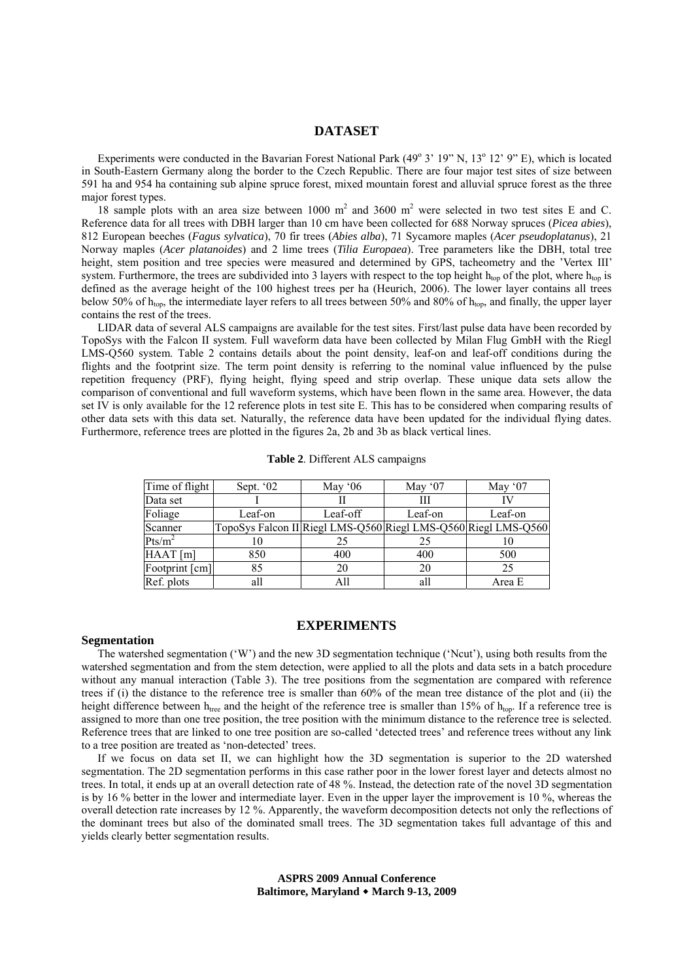### **DATASET**

Experiments were conducted in the Bavarian Forest National Park (49° 3' 19" N, 13° 12' 9" E), which is located in South-Eastern Germany along the border to the Czech Republic. There are four major test sites of size between 591 ha and 954 ha containing sub alpine spruce forest, mixed mountain forest and alluvial spruce forest as the three major forest types.

18 sample plots with an area size between 1000  $m^2$  and 3600  $m^2$  were selected in two test sites E and C. Reference data for all trees with DBH larger than 10 cm have been collected for 688 Norway spruces (*Picea abies*), 812 European beeches (*Fagus sylvatica*), 70 fir trees (*Abies alba*), 71 Sycamore maples (*Acer pseudoplatanus*), 21 Norway maples (*Acer platanoides*) and 2 lime trees (*Tilia Europaea*). Tree parameters like the DBH, total tree height, stem position and tree species were measured and determined by GPS, tacheometry and the 'Vertex III' system. Furthermore, the trees are subdivided into 3 layers with respect to the top height  $h_{top}$  of the plot, where  $h_{top}$  is defined as the average height of the 100 highest trees per ha (Heurich, 2006). The lower layer contains all trees below 50% of  $h_{\text{ion}}$ , the intermediate layer refers to all trees between 50% and 80% of  $h_{\text{ion}}$ , and finally, the upper layer contains the rest of the trees.

LIDAR data of several ALS campaigns are available for the test sites. First/last pulse data have been recorded by TopoSys with the Falcon II system. Full waveform data have been collected by Milan Flug GmbH with the Riegl LMS-Q560 system. Table 2 contains details about the point density, leaf-on and leaf-off conditions during the flights and the footprint size. The term point density is referring to the nominal value influenced by the pulse repetition frequency (PRF), flying height, flying speed and strip overlap. These unique data sets allow the comparison of conventional and full waveform systems, which have been flown in the same area. However, the data set IV is only available for the 12 reference plots in test site E. This has to be considered when comparing results of other data sets with this data set. Naturally, the reference data have been updated for the individual flying dates. Furthermore, reference trees are plotted in the figures 2a, 2b and 3b as black vertical lines.

| Time of flight<br>Sept. '02 |                                                                | May $06$ | May $07$ | May $07$ |  |
|-----------------------------|----------------------------------------------------------------|----------|----------|----------|--|
| Data set                    |                                                                | н        | Ш        |          |  |
| Foliage                     | Leaf-on                                                        | Leaf-off | Leaf-on  | Leaf-on  |  |
| Scanner                     | TopoSys Falcon II Riegl LMS-Q560 Riegl LMS-Q560 Riegl LMS-Q560 |          |          |          |  |
| Pts/m <sup>2</sup>          | 10                                                             | 25       | 25       |          |  |
| HAAT[m]                     | 850                                                            | 400      | 400      | 500      |  |
| Footprint [cm]              | 85                                                             | 20       | 20       | 25       |  |
| Ref. plots                  | all                                                            | All      | all      | Area E   |  |

**Table 2**. Different ALS campaigns

### **EXPERIMENTS**

### **Segmentation**

The watershed segmentation ('W') and the new 3D segmentation technique ('Ncut'), using both results from the watershed segmentation and from the stem detection, were applied to all the plots and data sets in a batch procedure without any manual interaction (Table 3). The tree positions from the segmentation are compared with reference trees if (i) the distance to the reference tree is smaller than 60% of the mean tree distance of the plot and (ii) the height difference between  $h_{tree}$  and the height of the reference tree is smaller than 15% of  $h_{top}$ . If a reference tree is assigned to more than one tree position, the tree position with the minimum distance to the reference tree is selected. Reference trees that are linked to one tree position are so-called 'detected trees' and reference trees without any link to a tree position are treated as 'non-detected' trees.

If we focus on data set II, we can highlight how the 3D segmentation is superior to the 2D watershed segmentation. The 2D segmentation performs in this case rather poor in the lower forest layer and detects almost no trees. In total, it ends up at an overall detection rate of 48 %. Instead, the detection rate of the novel 3D segmentation is by 16 % better in the lower and intermediate layer. Even in the upper layer the improvement is 10 %, whereas the overall detection rate increases by 12 %. Apparently, the waveform decomposition detects not only the reflections of the dominant trees but also of the dominated small trees. The 3D segmentation takes full advantage of this and yields clearly better segmentation results.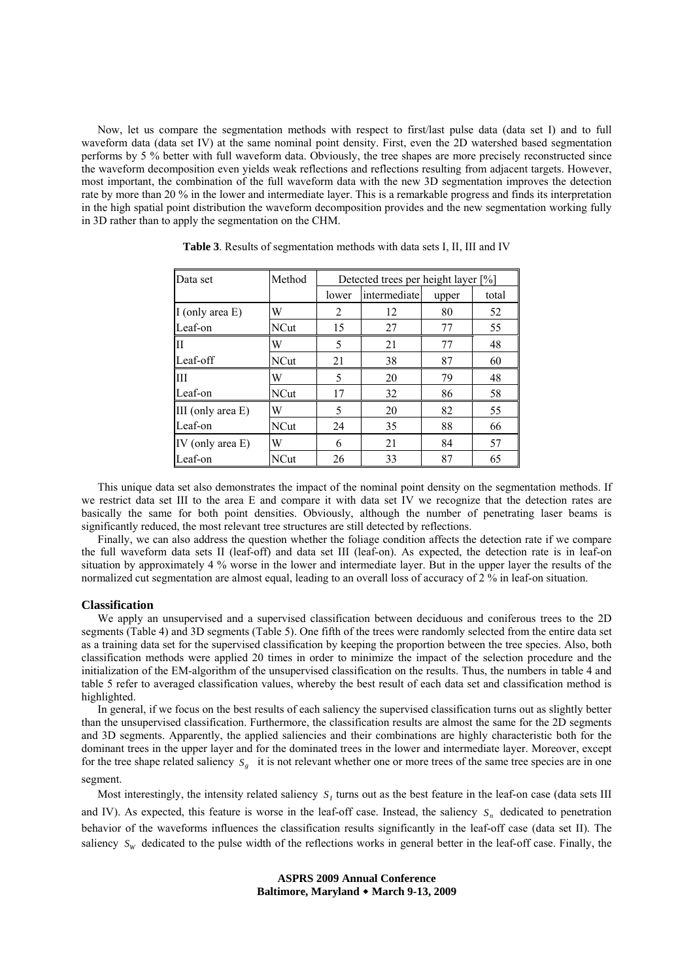Now, let us compare the segmentation methods with respect to first/last pulse data (data set I) and to full waveform data (data set IV) at the same nominal point density. First, even the 2D watershed based segmentation performs by 5 % better with full waveform data. Obviously, the tree shapes are more precisely reconstructed since the waveform decomposition even yields weak reflections and reflections resulting from adjacent targets. However, most important, the combination of the full waveform data with the new 3D segmentation improves the detection rate by more than 20 % in the lower and intermediate layer. This is a remarkable progress and finds its interpretation in the high spatial point distribution the waveform decomposition provides and the new segmentation working fully in 3D rather than to apply the segmentation on the CHM.

| Data set          | Method      | Detected trees per height layer [%] |              |       |       |  |  |
|-------------------|-------------|-------------------------------------|--------------|-------|-------|--|--|
|                   |             | lower                               | intermediate | upper | total |  |  |
| I (only area E)   | W           | 2                                   | 12           | 80    | 52    |  |  |
| Leaf-on           | NCut        | 15                                  | 27           | 77    | 55    |  |  |
| II                | W           | 5                                   | 21           | 77    | 48    |  |  |
| Leaf-off          | <b>NCut</b> | 21                                  | 38           | 87    | 60    |  |  |
| III               | W           | 5                                   | 20           | 79    | 48    |  |  |
| Leaf-on           | NCut        | 17                                  | 32           | 86    | 58    |  |  |
| III (only area E) | W           | 5                                   | 20           | 82    | 55    |  |  |
| Leaf-on           | <b>NCut</b> | 24                                  | 35           | 88    | 66    |  |  |
| IV (only area E)  | W           | 6                                   | 21           | 84    | 57    |  |  |
| Leaf-on           | NCut        | 26                                  | 33           | 87    | 65    |  |  |

**Table 3**. Results of segmentation methods with data sets I, II, III and IV

This unique data set also demonstrates the impact of the nominal point density on the segmentation methods. If we restrict data set III to the area E and compare it with data set IV we recognize that the detection rates are basically the same for both point densities. Obviously, although the number of penetrating laser beams is significantly reduced, the most relevant tree structures are still detected by reflections.

Finally, we can also address the question whether the foliage condition affects the detection rate if we compare the full waveform data sets II (leaf-off) and data set III (leaf-on). As expected, the detection rate is in leaf-on situation by approximately 4 % worse in the lower and intermediate layer. But in the upper layer the results of the normalized cut segmentation are almost equal, leading to an overall loss of accuracy of 2 % in leaf-on situation.

### **Classification**

We apply an unsupervised and a supervised classification between deciduous and coniferous trees to the 2D segments (Table 4) and 3D segments (Table 5). One fifth of the trees were randomly selected from the entire data set as a training data set for the supervised classification by keeping the proportion between the tree species. Also, both classification methods were applied 20 times in order to minimize the impact of the selection procedure and the initialization of the EM-algorithm of the unsupervised classification on the results. Thus, the numbers in table 4 and table 5 refer to averaged classification values, whereby the best result of each data set and classification method is highlighted.

In general, if we focus on the best results of each saliency the supervised classification turns out as slightly better than the unsupervised classification. Furthermore, the classification results are almost the same for the 2D segments and 3D segments. Apparently, the applied saliencies and their combinations are highly characteristic both for the dominant trees in the upper layer and for the dominated trees in the lower and intermediate layer. Moreover, except for the tree shape related saliency *S<sub>p</sub>* it is not relevant whether one or more trees of the same tree species are in one segment.

Most interestingly, the intensity related saliency  $S<sub>i</sub>$  turns out as the best feature in the leaf-on case (data sets III)

and IV). As expected, this feature is worse in the leaf-off case. Instead, the saliency  $S_n$  dedicated to penetration behavior of the waveforms influences the classification results significantly in the leaf-off case (data set II). The saliency  $S_W$  dedicated to the pulse width of the reflections works in general better in the leaf-off case. Finally, the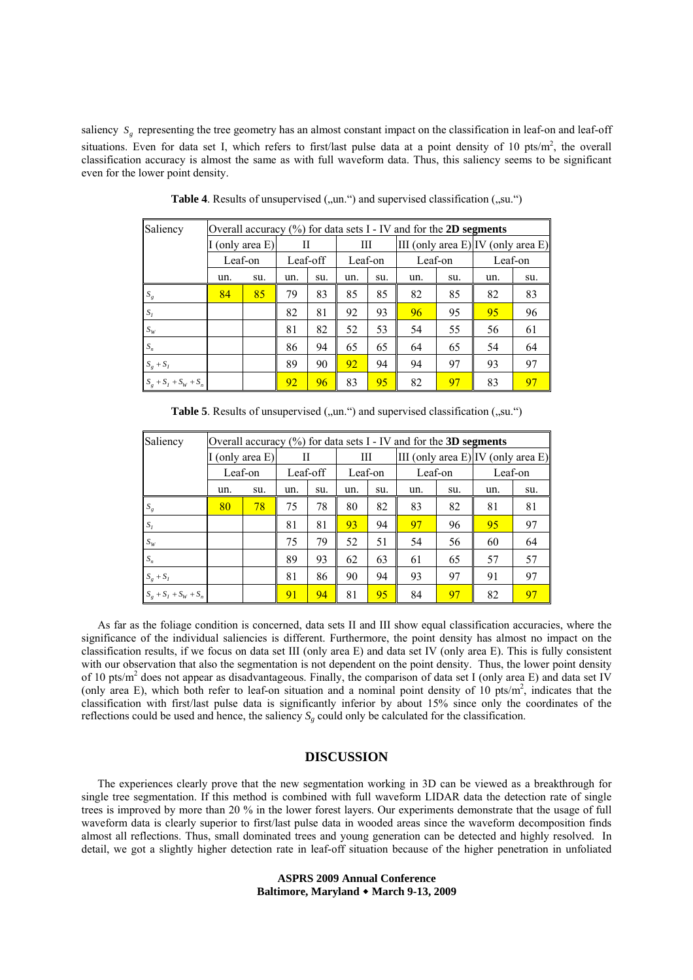saliency *S<sub>s</sub>* representing the tree geometry has an almost constant impact on the classification in leaf-on and leaf-off situations. Even for data set I, which refers to first/last pulse data at a point density of 10 pts/ $m^2$ , the overall classification accuracy is almost the same as with full waveform data. Thus, this saliency seems to be significant even for the lower point density.

| Saliency                | Overall accuracy $(\%)$ for data sets I - IV and for the 2D segments |     |          |     |         |     |         |     |                                    |     |
|-------------------------|----------------------------------------------------------------------|-----|----------|-----|---------|-----|---------|-----|------------------------------------|-----|
|                         | (only area E)                                                        |     | Н        |     | Ш       |     |         |     | III (only area E) IV (only area E) |     |
|                         | Leaf-on                                                              |     | Leaf-off |     | Leaf-on |     | Leaf-on |     | Leaf-on                            |     |
|                         | un.                                                                  | su. | un.      | su. | un.     | su. | un.     | su. | un.                                | su. |
| $S_g$                   | 84                                                                   | 85  | 79       | 83  | 85      | 85  | 82      | 85  | 82                                 | 83  |
| $S_t$                   |                                                                      |     | 82       | 81  | 92      | 93  | 96      | 95  | 95                                 | 96  |
| $S_W$                   |                                                                      |     | 81       | 82  | 52      | 53  | 54      | 55  | 56                                 | 61  |
| $S_n$                   |                                                                      |     | 86       | 94  | 65      | 65  | 64      | 65  | 54                                 | 64  |
| $S_g + S_I$             |                                                                      |     | 89       | 90  | 92      | 94  | 94      | 97  | 93                                 | 97  |
| $S_g + S_I + S_W + S_n$ |                                                                      |     | 92       | 96  | 83      | 95  | 82      | 97  | 83                                 | 97  |

**Table 4.** Results of unsupervised (..un.") and supervised classification (..su.")

| Saliency                | Overall accuracy $(\% )$ for data sets I - IV and for the 3D segments |     |          |     |         |     |         |     |                                    |     |
|-------------------------|-----------------------------------------------------------------------|-----|----------|-----|---------|-----|---------|-----|------------------------------------|-----|
|                         | I (only area $E$ )                                                    |     | Н        |     | Ш       |     |         |     | III (only area E) IV (only area E) |     |
|                         | Leaf-on                                                               |     | Leaf-off |     | Leaf-on |     | Leaf-on |     | Leaf-on                            |     |
|                         | un.                                                                   | su. | un.      | su. | un.     | su. | un.     | su. | un.                                | su. |
| $S_g$                   | 80                                                                    | 78  | 75       | 78  | 80      | 82  | 83      | 82  | 81                                 | 81  |
| $S_I$                   |                                                                       |     | 81       | 81  | 93      | 94  | 97      | 96  | 95                                 | 97  |
| $S_W$                   |                                                                       |     | 75       | 79  | 52      | 51  | 54      | 56  | 60                                 | 64  |
| $S_n$                   |                                                                       |     | 89       | 93  | 62      | 63  | 61      | 65  | 57                                 | 57  |
| $S_g + S_I$             |                                                                       |     | 81       | 86  | 90      | 94  | 93      | 97  | 91                                 | 97  |
| $S_g + S_I + S_W + S_n$ |                                                                       |     | 91       | 94  | 81      | 95  | 84      | 97  | 82                                 | 97  |

**Table 5**. Results of unsupervised (,,un.") and supervised classification (,,su.")

As far as the foliage condition is concerned, data sets II and III show equal classification accuracies, where the significance of the individual saliencies is different. Furthermore, the point density has almost no impact on the classification results, if we focus on data set III (only area E) and data set IV (only area E). This is fully consistent with our observation that also the segmentation is not dependent on the point density. Thus, the lower point density of 10 pts/m<sup>2</sup> does not appear as disadvantageous. Finally, the comparison of data set I (only area E) and data set IV (only area E), which both refer to leaf-on situation and a nominal point density of 10 pts/m<sup>2</sup>, indicates that the classification with first/last pulse data is significantly inferior by about 15% since only the coordinates of the reflections could be used and hence, the saliency  $S_g$  could only be calculated for the classification.

## **DISCUSSION**

The experiences clearly prove that the new segmentation working in 3D can be viewed as a breakthrough for single tree segmentation. If this method is combined with full waveform LIDAR data the detection rate of single trees is improved by more than 20 % in the lower forest layers. Our experiments demonstrate that the usage of full waveform data is clearly superior to first/last pulse data in wooded areas since the waveform decomposition finds almost all reflections. Thus, small dominated trees and young generation can be detected and highly resolved. In detail, we got a slightly higher detection rate in leaf-off situation because of the higher penetration in unfoliated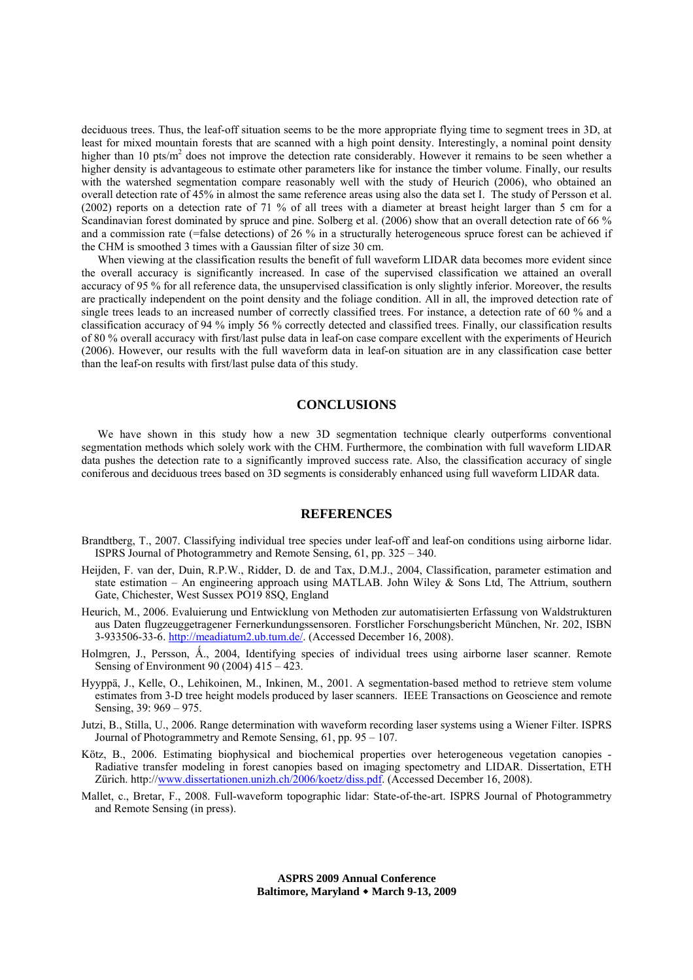deciduous trees. Thus, the leaf-off situation seems to be the more appropriate flying time to segment trees in 3D, at least for mixed mountain forests that are scanned with a high point density. Interestingly, a nominal point density higher than 10 pts/m<sup>2</sup> does not improve the detection rate considerably. However it remains to be seen whether a higher density is advantageous to estimate other parameters like for instance the timber volume. Finally, our results with the watershed segmentation compare reasonably well with the study of Heurich (2006), who obtained an overall detection rate of 45% in almost the same reference areas using also the data set I. The study of Persson et al. (2002) reports on a detection rate of 71 % of all trees with a diameter at breast height larger than 5 cm for a Scandinavian forest dominated by spruce and pine. Solberg et al. (2006) show that an overall detection rate of 66 % and a commission rate (=false detections) of 26 % in a structurally heterogeneous spruce forest can be achieved if the CHM is smoothed 3 times with a Gaussian filter of size 30 cm.

When viewing at the classification results the benefit of full waveform LIDAR data becomes more evident since the overall accuracy is significantly increased. In case of the supervised classification we attained an overall accuracy of 95 % for all reference data, the unsupervised classification is only slightly inferior. Moreover, the results are practically independent on the point density and the foliage condition. All in all, the improved detection rate of single trees leads to an increased number of correctly classified trees. For instance, a detection rate of 60 % and a classification accuracy of 94 % imply 56 % correctly detected and classified trees. Finally, our classification results of 80 % overall accuracy with first/last pulse data in leaf-on case compare excellent with the experiments of Heurich (2006). However, our results with the full waveform data in leaf-on situation are in any classification case better than the leaf-on results with first/last pulse data of this study.

# **CONCLUSIONS**

We have shown in this study how a new 3D segmentation technique clearly outperforms conventional segmentation methods which solely work with the CHM. Furthermore, the combination with full waveform LIDAR data pushes the detection rate to a significantly improved success rate. Also, the classification accuracy of single coniferous and deciduous trees based on 3D segments is considerably enhanced using full waveform LIDAR data.

#### **REFERENCES**

- Brandtberg, T., 2007. Classifying individual tree species under leaf-off and leaf-on conditions using airborne lidar. ISPRS Journal of Photogrammetry and Remote Sensing, 61, pp. 325 – 340.
- Heijden, F. van der, Duin, R.P.W., Ridder, D. de and Tax, D.M.J., 2004, Classification, parameter estimation and state estimation – An engineering approach using MATLAB. John Wiley & Sons Ltd, The Attrium, southern Gate, Chichester, West Sussex PO19 8SQ, England
- Heurich, M., 2006. Evaluierung und Entwicklung von Methoden zur automatisierten Erfassung von Waldstrukturen aus Daten flugzeuggetragener Fernerkundungssensoren. Forstlicher Forschungsbericht München, Nr. 202, ISBN 3-933506-33-6. http://meadiatum2.ub.tum.de/. (Accessed December 16, 2008).
- Holmgren, J., Persson, Å., 2004, Identifying species of individual trees using airborne laser scanner. Remote Sensing of Environment 90 (2004) 415 – 423.
- Hyyppä, J., Kelle, O., Lehikoinen, M., Inkinen, M., 2001. A segmentation-based method to retrieve stem volume estimates from 3-D tree height models produced by laser scanners. IEEE Transactions on Geoscience and remote Sensing, 39: 969 – 975.
- Jutzi, B., Stilla, U., 2006. Range determination with waveform recording laser systems using a Wiener Filter. ISPRS Journal of Photogrammetry and Remote Sensing, 61, pp. 95 – 107.
- Kötz, B., 2006. Estimating biophysical and biochemical properties over heterogeneous vegetation canopies Radiative transfer modeling in forest canopies based on imaging spectometry and LIDAR. Dissertation, ETH Zürich. http://www.dissertationen.unizh.ch/2006/koetz/diss.pdf. (Accessed December 16, 2008).
- Mallet, c., Bretar, F., 2008. Full-waveform topographic lidar: State-of-the-art. ISPRS Journal of Photogrammetry and Remote Sensing (in press).